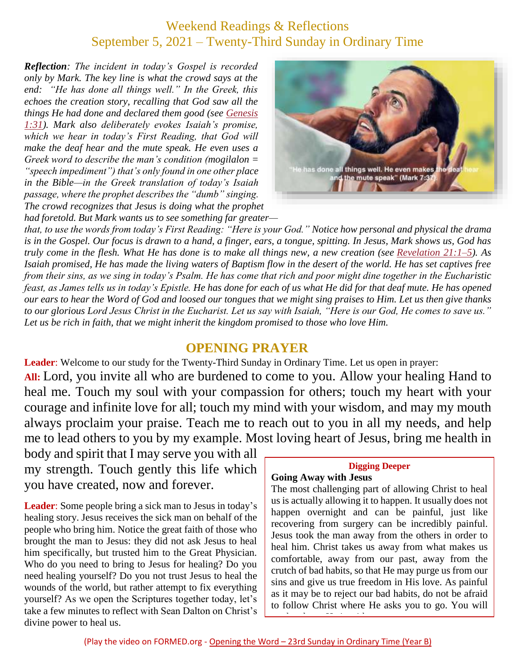## Weekend Readings & Reflections September 5, 2021 – Twenty-Third Sunday in Ordinary Time

*Reflection: The incident in today's Gospel is recorded only by Mark. The key line is what the crowd says at the end: "He has done all things well." In the Greek, this echoes the creation story, recalling that God saw all the things He had done and declared them good (see [Genesis](https://biblia.com/bible/rsvce/Gen%201.31) [1:31\)](https://biblia.com/bible/rsvce/Gen%201.31). Mark also deliberately evokes Isaiah's promise, which we hear in today's First Reading, that God will make the deaf hear and the mute speak. He even uses a Greek word to describe the man's condition (mogilalon = "speech impediment") that's only found in one other place in the Bible—in the Greek translation of today's Isaiah passage, where the prophet describes the "dumb" singing. The crowd recognizes that Jesus is doing what the prophet had foretold. But Mark wants us to see something far greater—*



*that, to use the words from today's First Reading: "Here is your God." Notice how personal and physical the drama is in the Gospel. Our focus is drawn to a hand, a finger, ears, a tongue, spitting. In Jesus, Mark shows us, God has truly come in the flesh. What He has done is to make all things new, a new creation (see [Revelation](https://biblia.com/bible/rsvce/Rev%2021.1%E2%80%935) 21:1–5). As Isaiah promised, He has made the living waters of Baptism flow in the desert of the world. He has set captives free from their sins, as we sing in today's Psalm. He has come that rich and poor might dine together in the Eucharistic feast, as James tells us in today's Epistle. He has done for each of us what He did for that deaf mute. He has opened our ears to hear the Word of God and loosed our tongues that we might sing praises to Him. Let us then give thanks to our glorious Lord Jesus Christ in the Eucharist. Let us say with Isaiah, "Here is our God, He comes to save us." Let us be rich in faith, that we might inherit the kingdom promised to those who love Him.*

#### **OPENING PRAYER**

**Leader**: Welcome to our study for the Twenty-Third Sunday in Ordinary Time. Let us open in prayer: **All:** Lord, you invite all who are burdened to come to you. Allow your healing Hand to heal me. Touch my soul with your compassion for others; touch my heart with your courage and infinite love for all; touch my mind with your wisdom, and may my mouth always proclaim your praise. Teach me to reach out to you in all my needs, and help me to lead others to you by my example. Most loving heart of Jesus, bring me health in

body and spirit that I may serve you with all my strength. Touch gently this life which you have created, now and forever.

**Leader**: Some people bring a sick man to Jesus in today's healing story. Jesus receives the sick man on behalf of the people who bring him. Notice the great faith of those who brought the man to Jesus: they did not ask Jesus to heal him specifically, but trusted him to the Great Physician. Who do you need to bring to Jesus for healing? Do you need healing yourself? Do you not trust Jesus to heal the wounds of the world, but rather attempt to fix everything yourself? As we open the Scriptures together today, let's take a few minutes to reflect with Sean Dalton on Christ's divine power to heal us.

# **Digging Deeper**

#### **Going Away with Jesus**

The most challenging part of allowing Christ to heal us is actually allowing it to happen. It usually does not happen overnight and can be painful, just like recovering from surgery can be incredibly painful. Jesus took the man away from the others in order to heal him. Christ takes us away from what makes us comfortable, away from our past, away from the crutch of bad habits, so that He may purge us from our sins and give us true freedom in His love. As painful as it may be to reject our bad habits, do not be afraid to follow Christ where He asks you to go. You will not be alone; He is with you. He is with you alone; He is with you. He is with you. He is with you. He is with<br>He is with you. He is with you. He is with you. He is with you. He is with you. He is with you. He is with you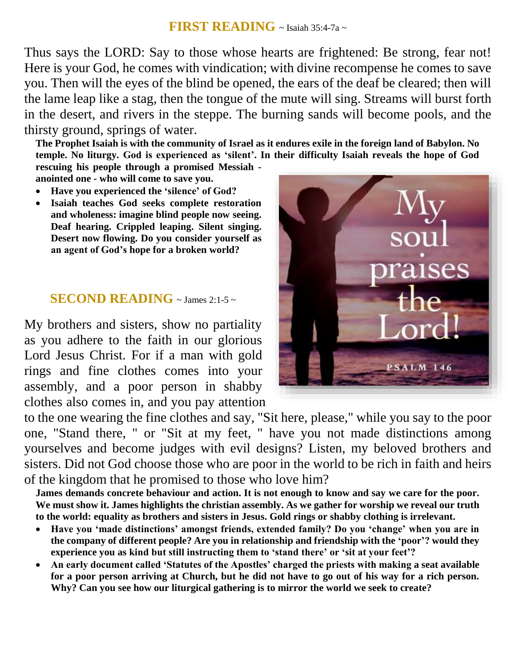#### **FIRST READING** ~ Isaiah 35:4-7a ~

Thus says the LORD: Say to those whose hearts are frightened: Be strong, fear not! Here is your God, he comes with vindication; with divine recompense he comes to save you. Then will the eyes of the blind be opened, the ears of the deaf be cleared; then will the lame leap like a stag, then the tongue of the mute will sing. Streams will burst forth in the desert, and rivers in the steppe. The burning sands will become pools, and the thirsty ground, springs of water.

**The Prophet Isaiah is with the community of Israel as it endures exile in the foreign land of Babylon. No temple. No liturgy. God is experienced as 'silent'. In their difficulty Isaiah reveals the hope of God**

**rescuing his people through a promised Messiah anointed one - who will come to save you.**

- **Have you experienced the 'silence' of God?**
- **Isaiah teaches God seeks complete restoration and wholeness: imagine blind people now seeing. Deaf hearing. Crippled leaping. Silent singing. Desert now flowing. Do you consider yourself as an agent of God's hope for a broken world?**

### **SECOND READING**  $\sim$  James 2:1-5  $\sim$

My brothers and sisters, show no partiality as you adhere to the faith in our glorious Lord Jesus Christ. For if a man with gold rings and fine clothes comes into your assembly, and a poor person in shabby clothes also comes in, and you pay attention

to the one wearing the fine clothes and say, "Sit here, please," while you say to the poor one, "Stand there, " or "Sit at my feet, " have you not made distinctions among yourselves and become judges with evil designs? Listen, my beloved brothers and sisters. Did not God choose those who are poor in the world to be rich in faith and heirs of the kingdom that he promised to those who love him?

**James demands concrete behaviour and action. It is not enough to know and say we care for the poor. We must show it. James highlights the christian assembly. As we gather for worship we reveal our truth to the world: equality as brothers and sisters in Jesus. Gold rings or shabby clothing is irrelevant.** 

- **Have you 'made distinctions' amongst friends, extended family? Do you 'change' when you are in the company of different people? Are you in relationship and friendship with the 'poor'? would they experience you as kind but still instructing them to 'stand there' or 'sit at your feet'?**
- **An early document called 'Statutes of the Apostles' charged the priests with making a seat available for a poor person arriving at Church, but he did not have to go out of his way for a rich person. Why? Can you see how our liturgical gathering is to mirror the world we seek to create?**

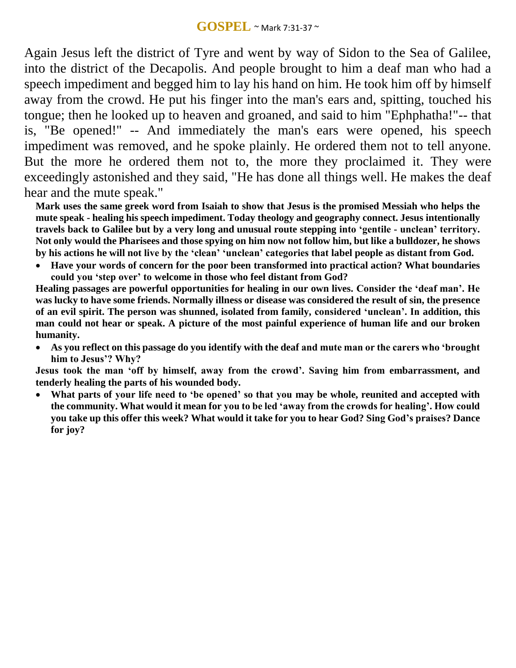Again Jesus left the district of Tyre and went by way of Sidon to the Sea of Galilee, into the district of the Decapolis. And people brought to him a deaf man who had a speech impediment and begged him to lay his hand on him. He took him off by himself away from the crowd. He put his finger into the man's ears and, spitting, touched his tongue; then he looked up to heaven and groaned, and said to him "Ephphatha!"-- that is, "Be opened!" -- And immediately the man's ears were opened, his speech impediment was removed, and he spoke plainly. He ordered them not to tell anyone. But the more he ordered them not to, the more they proclaimed it. They were exceedingly astonished and they said, "He has done all things well. He makes the deaf hear and the mute speak."

**Mark uses the same greek word from Isaiah to show that Jesus is the promised Messiah who helps the mute speak - healing his speech impediment. Today theology and geography connect. Jesus intentionally travels back to Galilee but by a very long and unusual route stepping into ʻgentile - unclean' territory. Not only would the Pharisees and those spying on him now not follow him, but like a bulldozer, he shows by his actions he will not live by the ʻclean' ʻunclean' categories that label people as distant from God.** 

 **Have your words of concern for the poor been transformed into practical action? What boundaries could you ʻstep over' to welcome in those who feel distant from God?**

**Healing passages are powerful opportunities for healing in our own lives. Consider the ʻdeaf man'. He was lucky to have some friends. Normally illness or disease was considered the result of sin, the presence of an evil spirit. The person was shunned, isolated from family, considered ʻunclean'. In addition, this man could not hear or speak. A picture of the most painful experience of human life and our broken humanity.**

 **As you reflect on this passage do you identify with the deaf and mute man or the carers who ʻbrought him to Jesus'? Why?**

**Jesus took the man ʻoff by himself, away from the crowd'. Saving him from embarrassment, and tenderly healing the parts of his wounded body.** 

 **What parts of your life need to ʻbe opened' so that you may be whole, reunited and accepted with the community. What would it mean for you to be led ʻaway from the crowds for healing'. How could you take up this offer this week? What would it take for you to hear God? Sing God's praises? Dance for joy?**